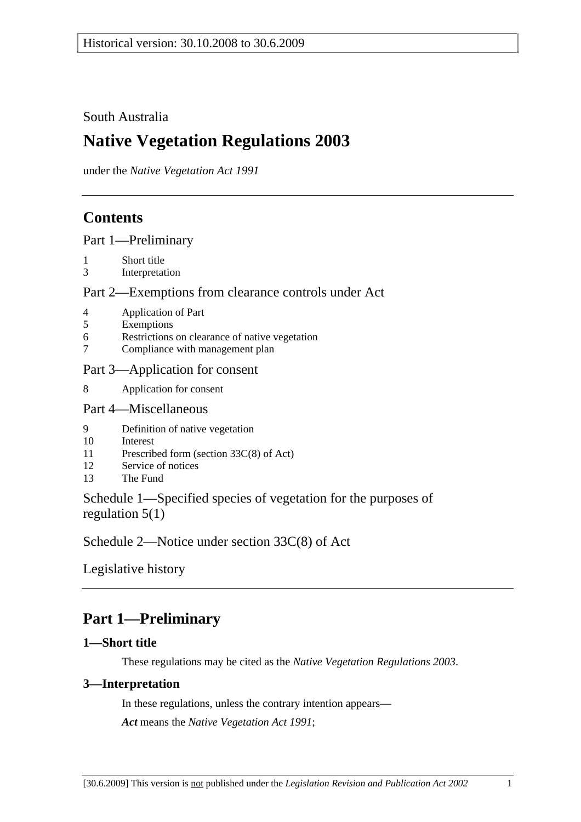### South Australia

# **Native Vegetation Regulations 2003**

under the *Native Vegetation Act 1991*

## **Contents**

Part 1—Preliminary

- 1 Short title
- 3 Interpretation

### Part 2—Exemptions from clearance controls under Act

- 4 Application of Part
- 5 Exemptions
- 6 Restrictions on clearance of native vegetation
- 7 Compliance with management plan

### Part 3—Application for consent

8 Application for consent

### Part 4—Miscellaneous

- 9 Definition of native vegetation
- 10 Interest
- 11 Prescribed form (section 33C(8) of Act)
- 12 Service of notices
- 13 The Fund

Schedule 1—Specified species of vegetation for the purposes of regulation 5(1)

Schedule 2—Notice under section 33C(8) of Act

Legislative history

# **Part 1—Preliminary**

### **1—Short title**

These regulations may be cited as the *Native Vegetation Regulations 2003*.

### **3—Interpretation**

In these regulations, unless the contrary intention appears— *Act* means the *Native Vegetation Act 1991*;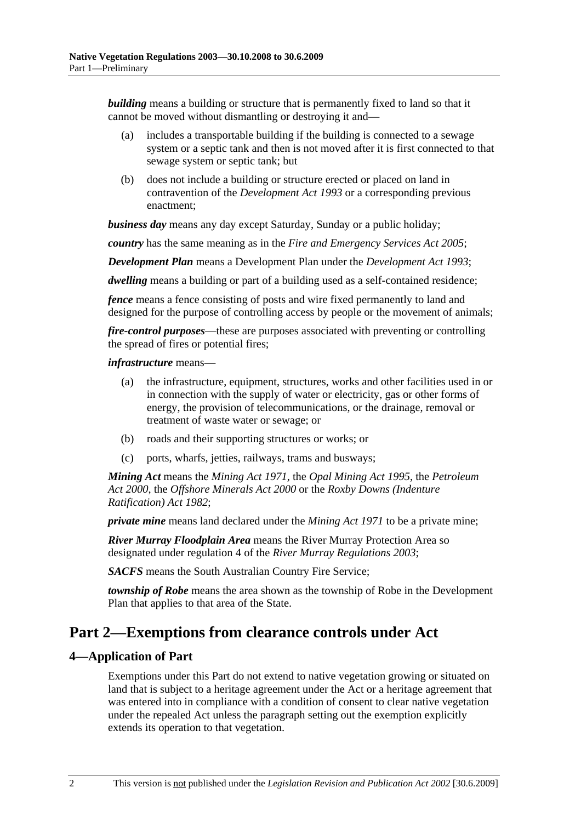*building* means a building or structure that is permanently fixed to land so that it cannot be moved without dismantling or destroying it and—

- (a) includes a transportable building if the building is connected to a sewage system or a septic tank and then is not moved after it is first connected to that sewage system or septic tank; but
- (b) does not include a building or structure erected or placed on land in contravention of the *Development Act 1993* or a corresponding previous enactment;

*business day* means any day except Saturday, Sunday or a public holiday;

*country* has the same meaning as in the *Fire and Emergency Services Act 2005*;

*Development Plan* means a Development Plan under the *Development Act 1993*;

*dwelling* means a building or part of a building used as a self-contained residence;

*fence* means a fence consisting of posts and wire fixed permanently to land and designed for the purpose of controlling access by people or the movement of animals;

*fire-control purposes*—these are purposes associated with preventing or controlling the spread of fires or potential fires;

#### *infrastructure* means—

- (a) the infrastructure, equipment, structures, works and other facilities used in or in connection with the supply of water or electricity, gas or other forms of energy, the provision of telecommunications, or the drainage, removal or treatment of waste water or sewage; or
- (b) roads and their supporting structures or works; or
- (c) ports, wharfs, jetties, railways, trams and busways;

*Mining Act* means the *Mining Act 1971*, the *Opal Mining Act 1995*, the *Petroleum Act 2000*, the *Offshore Minerals Act 2000* or the *Roxby Downs (Indenture Ratification) Act 1982*;

*private mine* means land declared under the *Mining Act 1971* to be a private mine;

*River Murray Floodplain Area* means the River Murray Protection Area so designated under regulation 4 of the *River Murray Regulations 2003*;

*SACFS* means the South Australian Country Fire Service;

*township of Robe* means the area shown as the township of Robe in the Development Plan that applies to that area of the State.

## **Part 2—Exemptions from clearance controls under Act**

### **4—Application of Part**

Exemptions under this Part do not extend to native vegetation growing or situated on land that is subject to a heritage agreement under the Act or a heritage agreement that was entered into in compliance with a condition of consent to clear native vegetation under the repealed Act unless the paragraph setting out the exemption explicitly extends its operation to that vegetation.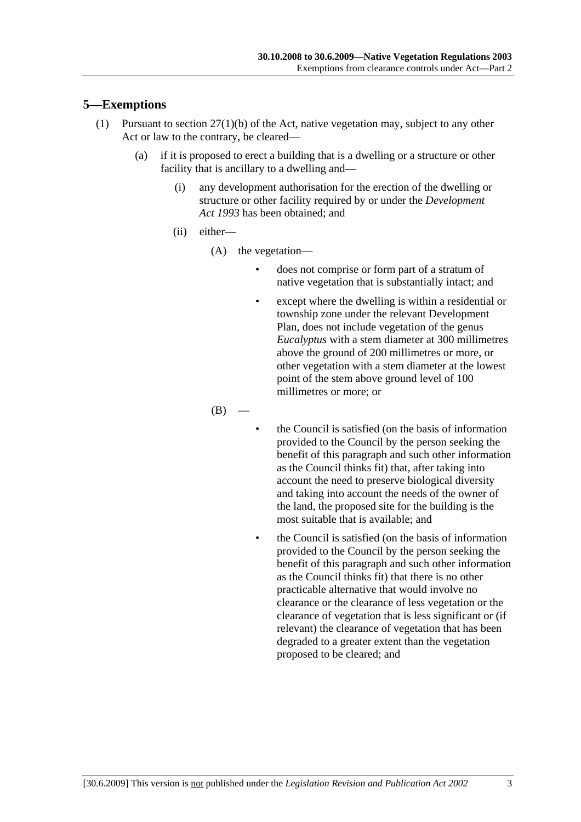### **5—Exemptions**

- (1) Pursuant to section 27(1)(b) of the Act, native vegetation may, subject to any other Act or law to the contrary, be cleared—
	- (a) if it is proposed to erect a building that is a dwelling or a structure or other facility that is ancillary to a dwelling and—
		- (i) any development authorisation for the erection of the dwelling or structure or other facility required by or under the *Development Act 1993* has been obtained; and
		- (ii) either—
			- (A) the vegetation—
				- does not comprise or form part of a stratum of native vegetation that is substantially intact; and
				- except where the dwelling is within a residential or township zone under the relevant Development Plan, does not include vegetation of the genus *Eucalyptus* with a stem diameter at 300 millimetres above the ground of 200 millimetres or more, or other vegetation with a stem diameter at the lowest point of the stem above ground level of 100 millimetres or more; or

 $(B)$ 

- the Council is satisfied (on the basis of information provided to the Council by the person seeking the benefit of this paragraph and such other information as the Council thinks fit) that, after taking into account the need to preserve biological diversity and taking into account the needs of the owner of the land, the proposed site for the building is the most suitable that is available; and
- the Council is satisfied (on the basis of information provided to the Council by the person seeking the benefit of this paragraph and such other information as the Council thinks fit) that there is no other practicable alternative that would involve no clearance or the clearance of less vegetation or the clearance of vegetation that is less significant or (if relevant) the clearance of vegetation that has been degraded to a greater extent than the vegetation proposed to be cleared; and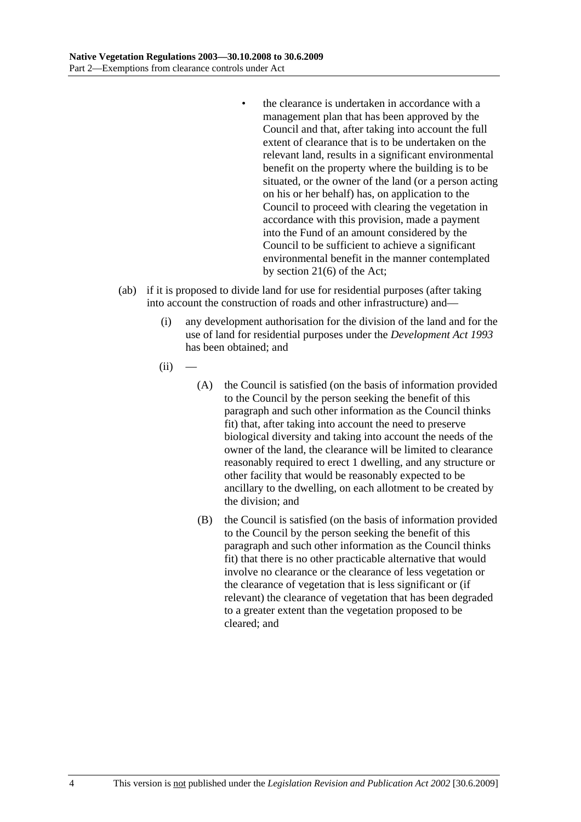- the clearance is undertaken in accordance with a management plan that has been approved by the Council and that, after taking into account the full extent of clearance that is to be undertaken on the relevant land, results in a significant environmental benefit on the property where the building is to be situated, or the owner of the land (or a person acting on his or her behalf) has, on application to the Council to proceed with clearing the vegetation in accordance with this provision, made a payment into the Fund of an amount considered by the Council to be sufficient to achieve a significant environmental benefit in the manner contemplated by section 21(6) of the Act;
- (ab) if it is proposed to divide land for use for residential purposes (after taking into account the construction of roads and other infrastructure) and—
	- (i) any development authorisation for the division of the land and for the use of land for residential purposes under the *Development Act 1993* has been obtained; and
	- $(ii)$ 
		- (A) the Council is satisfied (on the basis of information provided to the Council by the person seeking the benefit of this paragraph and such other information as the Council thinks fit) that, after taking into account the need to preserve biological diversity and taking into account the needs of the owner of the land, the clearance will be limited to clearance reasonably required to erect 1 dwelling, and any structure or other facility that would be reasonably expected to be ancillary to the dwelling, on each allotment to be created by the division; and
		- (B) the Council is satisfied (on the basis of information provided to the Council by the person seeking the benefit of this paragraph and such other information as the Council thinks fit) that there is no other practicable alternative that would involve no clearance or the clearance of less vegetation or the clearance of vegetation that is less significant or (if relevant) the clearance of vegetation that has been degraded to a greater extent than the vegetation proposed to be cleared; and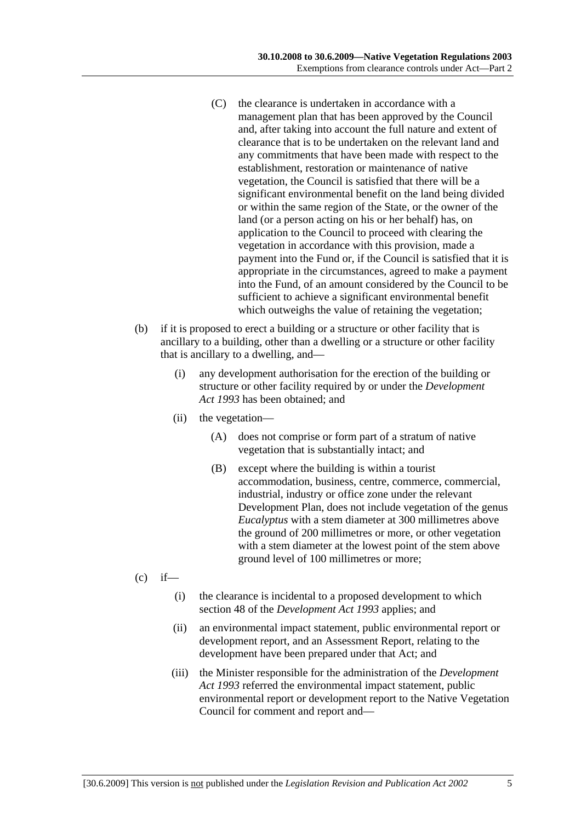- (C) the clearance is undertaken in accordance with a management plan that has been approved by the Council and, after taking into account the full nature and extent of clearance that is to be undertaken on the relevant land and any commitments that have been made with respect to the establishment, restoration or maintenance of native vegetation, the Council is satisfied that there will be a significant environmental benefit on the land being divided or within the same region of the State, or the owner of the land (or a person acting on his or her behalf) has, on application to the Council to proceed with clearing the vegetation in accordance with this provision, made a payment into the Fund or, if the Council is satisfied that it is appropriate in the circumstances, agreed to make a payment into the Fund, of an amount considered by the Council to be sufficient to achieve a significant environmental benefit which outweighs the value of retaining the vegetation;
- (b) if it is proposed to erect a building or a structure or other facility that is ancillary to a building, other than a dwelling or a structure or other facility that is ancillary to a dwelling, and—
	- (i) any development authorisation for the erection of the building or structure or other facility required by or under the *Development Act 1993* has been obtained; and
	- (ii) the vegetation—
		- (A) does not comprise or form part of a stratum of native vegetation that is substantially intact; and
		- (B) except where the building is within a tourist accommodation, business, centre, commerce, commercial, industrial, industry or office zone under the relevant Development Plan, does not include vegetation of the genus *Eucalyptus* with a stem diameter at 300 millimetres above the ground of 200 millimetres or more, or other vegetation with a stem diameter at the lowest point of the stem above ground level of 100 millimetres or more;
- $(c)$  if—
	- (i) the clearance is incidental to a proposed development to which section 48 of the *Development Act 1993* applies; and
	- (ii) an environmental impact statement, public environmental report or development report, and an Assessment Report, relating to the development have been prepared under that Act; and
	- (iii) the Minister responsible for the administration of the *Development Act 1993* referred the environmental impact statement, public environmental report or development report to the Native Vegetation Council for comment and report and—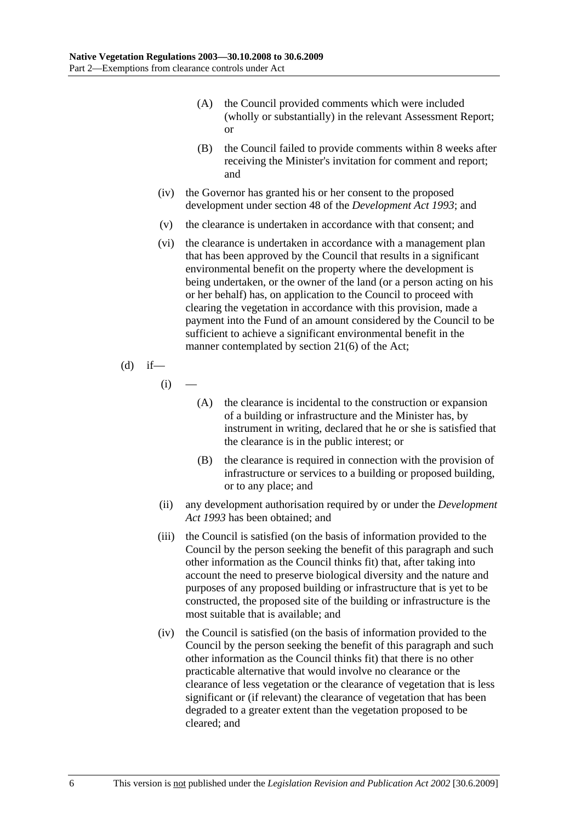- (A) the Council provided comments which were included (wholly or substantially) in the relevant Assessment Report; or
- (B) the Council failed to provide comments within 8 weeks after receiving the Minister's invitation for comment and report; and
- (iv) the Governor has granted his or her consent to the proposed development under section 48 of the *Development Act 1993*; and
- (v) the clearance is undertaken in accordance with that consent; and
- (vi) the clearance is undertaken in accordance with a management plan that has been approved by the Council that results in a significant environmental benefit on the property where the development is being undertaken, or the owner of the land (or a person acting on his or her behalf) has, on application to the Council to proceed with clearing the vegetation in accordance with this provision, made a payment into the Fund of an amount considered by the Council to be sufficient to achieve a significant environmental benefit in the manner contemplated by section 21(6) of the Act;

(d) if—

 $(i)$ 

- (A) the clearance is incidental to the construction or expansion of a building or infrastructure and the Minister has, by instrument in writing, declared that he or she is satisfied that the clearance is in the public interest; or
- (B) the clearance is required in connection with the provision of infrastructure or services to a building or proposed building, or to any place; and
- (ii) any development authorisation required by or under the *Development Act 1993* has been obtained; and
- (iii) the Council is satisfied (on the basis of information provided to the Council by the person seeking the benefit of this paragraph and such other information as the Council thinks fit) that, after taking into account the need to preserve biological diversity and the nature and purposes of any proposed building or infrastructure that is yet to be constructed, the proposed site of the building or infrastructure is the most suitable that is available; and
- (iv) the Council is satisfied (on the basis of information provided to the Council by the person seeking the benefit of this paragraph and such other information as the Council thinks fit) that there is no other practicable alternative that would involve no clearance or the clearance of less vegetation or the clearance of vegetation that is less significant or (if relevant) the clearance of vegetation that has been degraded to a greater extent than the vegetation proposed to be cleared; and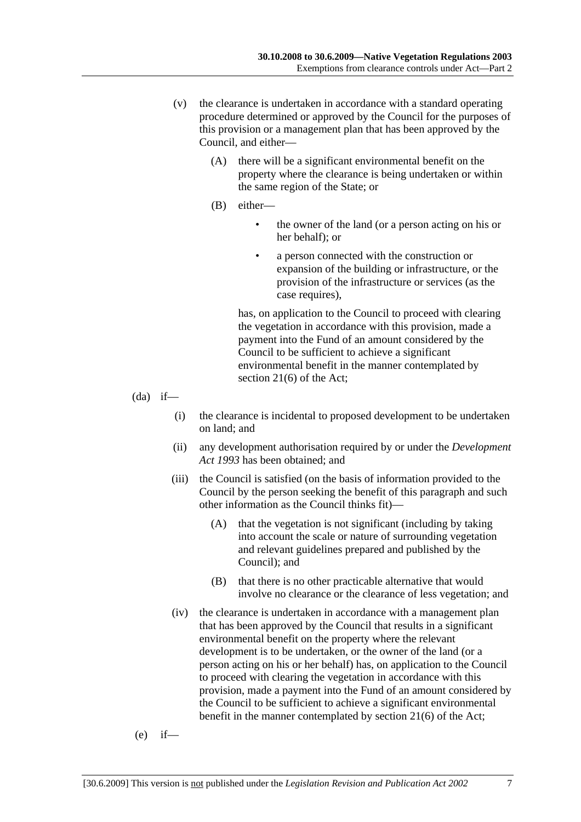- (v) the clearance is undertaken in accordance with a standard operating procedure determined or approved by the Council for the purposes of this provision or a management plan that has been approved by the Council, and either—
	- (A) there will be a significant environmental benefit on the property where the clearance is being undertaken or within the same region of the State; or
	- (B) either—
		- the owner of the land (or a person acting on his or her behalf); or
		- a person connected with the construction or expansion of the building or infrastructure, or the provision of the infrastructure or services (as the case requires),

has, on application to the Council to proceed with clearing the vegetation in accordance with this provision, made a payment into the Fund of an amount considered by the Council to be sufficient to achieve a significant environmental benefit in the manner contemplated by section 21(6) of the Act;

 $(da)$  if—

- (i) the clearance is incidental to proposed development to be undertaken on land; and
- (ii) any development authorisation required by or under the *Development Act 1993* has been obtained; and
- (iii) the Council is satisfied (on the basis of information provided to the Council by the person seeking the benefit of this paragraph and such other information as the Council thinks fit)—
	- (A) that the vegetation is not significant (including by taking into account the scale or nature of surrounding vegetation and relevant guidelines prepared and published by the Council); and
	- (B) that there is no other practicable alternative that would involve no clearance or the clearance of less vegetation; and
- (iv) the clearance is undertaken in accordance with a management plan that has been approved by the Council that results in a significant environmental benefit on the property where the relevant development is to be undertaken, or the owner of the land (or a person acting on his or her behalf) has, on application to the Council to proceed with clearing the vegetation in accordance with this provision, made a payment into the Fund of an amount considered by the Council to be sufficient to achieve a significant environmental benefit in the manner contemplated by section 21(6) of the Act;

$$
(e) if
$$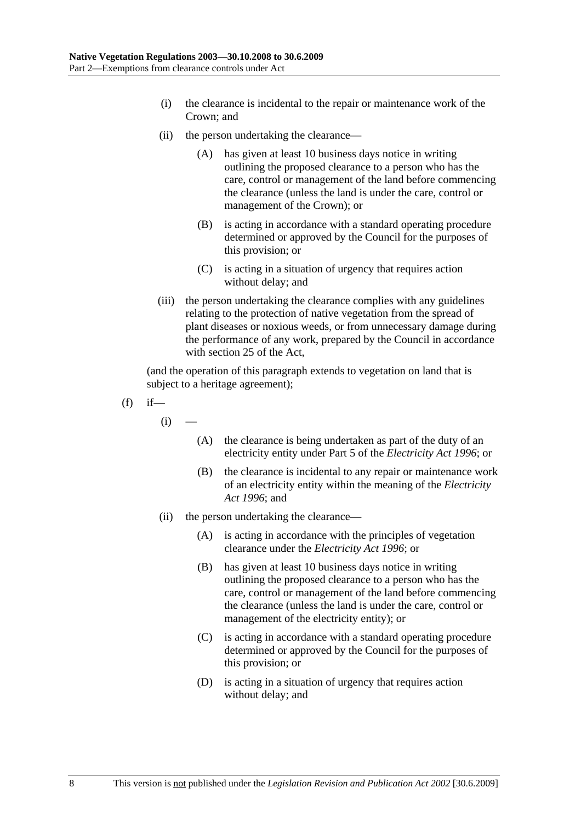- (i) the clearance is incidental to the repair or maintenance work of the Crown; and
- (ii) the person undertaking the clearance—
	- (A) has given at least 10 business days notice in writing outlining the proposed clearance to a person who has the care, control or management of the land before commencing the clearance (unless the land is under the care, control or management of the Crown); or
	- (B) is acting in accordance with a standard operating procedure determined or approved by the Council for the purposes of this provision; or
	- (C) is acting in a situation of urgency that requires action without delay; and
- (iii) the person undertaking the clearance complies with any guidelines relating to the protection of native vegetation from the spread of plant diseases or noxious weeds, or from unnecessary damage during the performance of any work, prepared by the Council in accordance with section 25 of the Act,

- $(f)$  if
	- $(i)$
- (A) the clearance is being undertaken as part of the duty of an electricity entity under Part 5 of the *Electricity Act 1996*; or
- (B) the clearance is incidental to any repair or maintenance work of an electricity entity within the meaning of the *Electricity Act 1996*; and
- (ii) the person undertaking the clearance—
	- (A) is acting in accordance with the principles of vegetation clearance under the *Electricity Act 1996*; or
	- (B) has given at least 10 business days notice in writing outlining the proposed clearance to a person who has the care, control or management of the land before commencing the clearance (unless the land is under the care, control or management of the electricity entity); or
	- (C) is acting in accordance with a standard operating procedure determined or approved by the Council for the purposes of this provision; or
	- (D) is acting in a situation of urgency that requires action without delay; and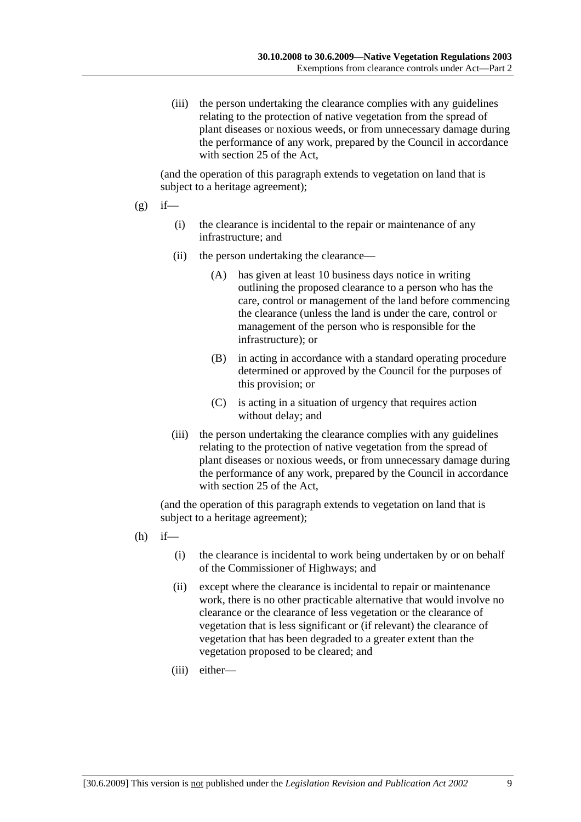(iii) the person undertaking the clearance complies with any guidelines relating to the protection of native vegetation from the spread of plant diseases or noxious weeds, or from unnecessary damage during the performance of any work, prepared by the Council in accordance with section 25 of the Act,

(and the operation of this paragraph extends to vegetation on land that is subject to a heritage agreement);

- $(g)$  if—
	- (i) the clearance is incidental to the repair or maintenance of any infrastructure; and
	- (ii) the person undertaking the clearance—
		- (A) has given at least 10 business days notice in writing outlining the proposed clearance to a person who has the care, control or management of the land before commencing the clearance (unless the land is under the care, control or management of the person who is responsible for the infrastructure); or
		- (B) in acting in accordance with a standard operating procedure determined or approved by the Council for the purposes of this provision; or
		- (C) is acting in a situation of urgency that requires action without delay; and
	- (iii) the person undertaking the clearance complies with any guidelines relating to the protection of native vegetation from the spread of plant diseases or noxious weeds, or from unnecessary damage during the performance of any work, prepared by the Council in accordance with section 25 of the Act,

- $(h)$  if—
	- (i) the clearance is incidental to work being undertaken by or on behalf of the Commissioner of Highways; and
	- (ii) except where the clearance is incidental to repair or maintenance work, there is no other practicable alternative that would involve no clearance or the clearance of less vegetation or the clearance of vegetation that is less significant or (if relevant) the clearance of vegetation that has been degraded to a greater extent than the vegetation proposed to be cleared; and
	- (iii) either—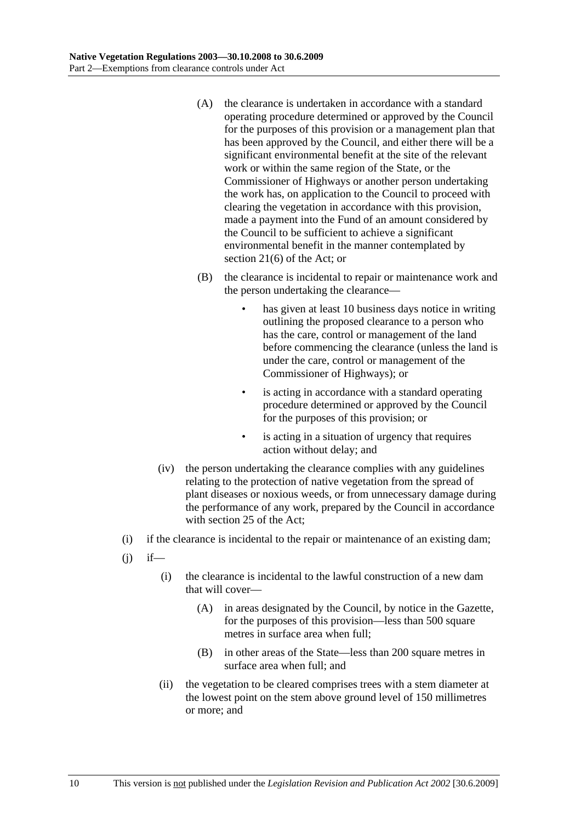- (A) the clearance is undertaken in accordance with a standard operating procedure determined or approved by the Council for the purposes of this provision or a management plan that has been approved by the Council, and either there will be a significant environmental benefit at the site of the relevant work or within the same region of the State, or the Commissioner of Highways or another person undertaking the work has, on application to the Council to proceed with clearing the vegetation in accordance with this provision, made a payment into the Fund of an amount considered by the Council to be sufficient to achieve a significant environmental benefit in the manner contemplated by section 21(6) of the Act; or
- (B) the clearance is incidental to repair or maintenance work and the person undertaking the clearance
	- has given at least 10 business days notice in writing outlining the proposed clearance to a person who has the care, control or management of the land before commencing the clearance (unless the land is under the care, control or management of the Commissioner of Highways); or
	- is acting in accordance with a standard operating procedure determined or approved by the Council for the purposes of this provision; or
	- is acting in a situation of urgency that requires action without delay; and
- (iv) the person undertaking the clearance complies with any guidelines relating to the protection of native vegetation from the spread of plant diseases or noxious weeds, or from unnecessary damage during the performance of any work, prepared by the Council in accordance with section 25 of the Act;
- (i) if the clearance is incidental to the repair or maintenance of an existing dam;
- $(i)$  if—
	- (i) the clearance is incidental to the lawful construction of a new dam that will cover—
		- (A) in areas designated by the Council, by notice in the Gazette, for the purposes of this provision—less than 500 square metres in surface area when full;
		- (B) in other areas of the State—less than 200 square metres in surface area when full; and
	- (ii) the vegetation to be cleared comprises trees with a stem diameter at the lowest point on the stem above ground level of 150 millimetres or more; and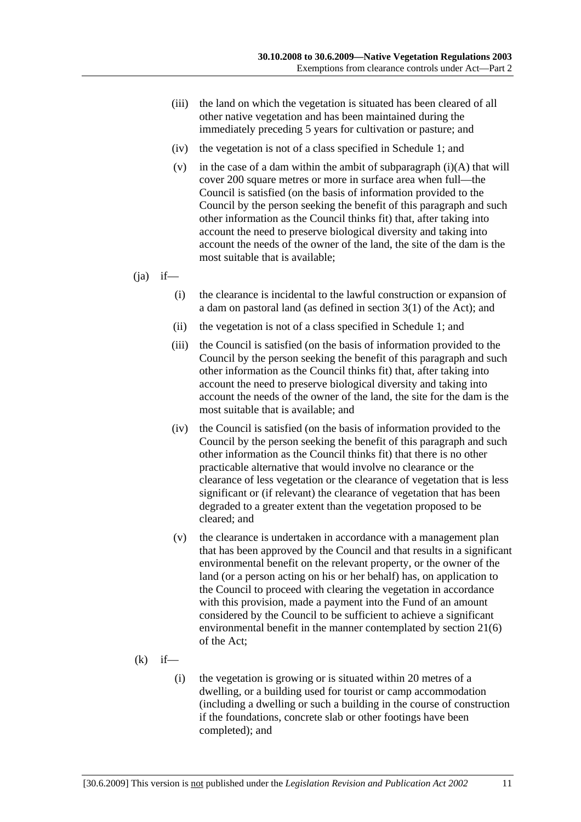- (iii) the land on which the vegetation is situated has been cleared of all other native vegetation and has been maintained during the immediately preceding 5 years for cultivation or pasture; and
- (iv) the vegetation is not of a class specified in Schedule 1; and
- (v) in the case of a dam within the ambit of subparagraph  $(i)(A)$  that will cover 200 square metres or more in surface area when full—the Council is satisfied (on the basis of information provided to the Council by the person seeking the benefit of this paragraph and such other information as the Council thinks fit) that, after taking into account the need to preserve biological diversity and taking into account the needs of the owner of the land, the site of the dam is the most suitable that is available;

 $(i)$  if—

- (i) the clearance is incidental to the lawful construction or expansion of a dam on pastoral land (as defined in section 3(1) of the Act); and
- (ii) the vegetation is not of a class specified in Schedule 1; and
- (iii) the Council is satisfied (on the basis of information provided to the Council by the person seeking the benefit of this paragraph and such other information as the Council thinks fit) that, after taking into account the need to preserve biological diversity and taking into account the needs of the owner of the land, the site for the dam is the most suitable that is available; and
- (iv) the Council is satisfied (on the basis of information provided to the Council by the person seeking the benefit of this paragraph and such other information as the Council thinks fit) that there is no other practicable alternative that would involve no clearance or the clearance of less vegetation or the clearance of vegetation that is less significant or (if relevant) the clearance of vegetation that has been degraded to a greater extent than the vegetation proposed to be cleared; and
- (v) the clearance is undertaken in accordance with a management plan that has been approved by the Council and that results in a significant environmental benefit on the relevant property, or the owner of the land (or a person acting on his or her behalf) has, on application to the Council to proceed with clearing the vegetation in accordance with this provision, made a payment into the Fund of an amount considered by the Council to be sufficient to achieve a significant environmental benefit in the manner contemplated by section 21(6) of the Act;
- $(k)$  if—
	- (i) the vegetation is growing or is situated within 20 metres of a dwelling, or a building used for tourist or camp accommodation (including a dwelling or such a building in the course of construction if the foundations, concrete slab or other footings have been completed); and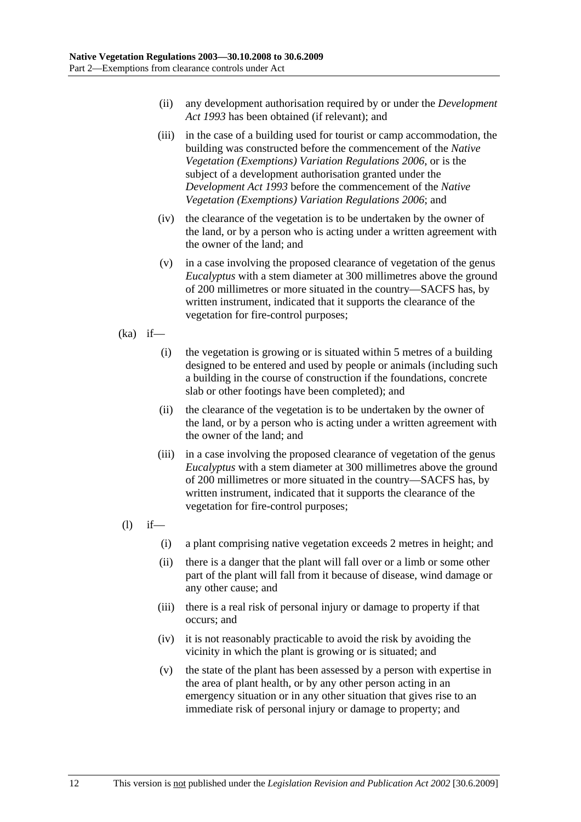- (ii) any development authorisation required by or under the *Development Act 1993* has been obtained (if relevant); and
- (iii) in the case of a building used for tourist or camp accommodation, the building was constructed before the commencement of the *Native Vegetation (Exemptions) Variation Regulations 2006*, or is the subject of a development authorisation granted under the *Development Act 1993* before the commencement of the *Native Vegetation (Exemptions) Variation Regulations 2006*; and
- (iv) the clearance of the vegetation is to be undertaken by the owner of the land, or by a person who is acting under a written agreement with the owner of the land; and
- (v) in a case involving the proposed clearance of vegetation of the genus *Eucalyptus* with a stem diameter at 300 millimetres above the ground of 200 millimetres or more situated in the country—SACFS has, by written instrument, indicated that it supports the clearance of the vegetation for fire-control purposes;
- $(ka)$  if—
	- (i) the vegetation is growing or is situated within 5 metres of a building designed to be entered and used by people or animals (including such a building in the course of construction if the foundations, concrete slab or other footings have been completed); and
	- (ii) the clearance of the vegetation is to be undertaken by the owner of the land, or by a person who is acting under a written agreement with the owner of the land; and
	- (iii) in a case involving the proposed clearance of vegetation of the genus *Eucalyptus* with a stem diameter at 300 millimetres above the ground of 200 millimetres or more situated in the country—SACFS has, by written instrument, indicated that it supports the clearance of the vegetation for fire-control purposes;
- $(l)$  if—
	- (i) a plant comprising native vegetation exceeds 2 metres in height; and
	- (ii) there is a danger that the plant will fall over or a limb or some other part of the plant will fall from it because of disease, wind damage or any other cause; and
	- (iii) there is a real risk of personal injury or damage to property if that occurs; and
	- (iv) it is not reasonably practicable to avoid the risk by avoiding the vicinity in which the plant is growing or is situated; and
	- (v) the state of the plant has been assessed by a person with expertise in the area of plant health, or by any other person acting in an emergency situation or in any other situation that gives rise to an immediate risk of personal injury or damage to property; and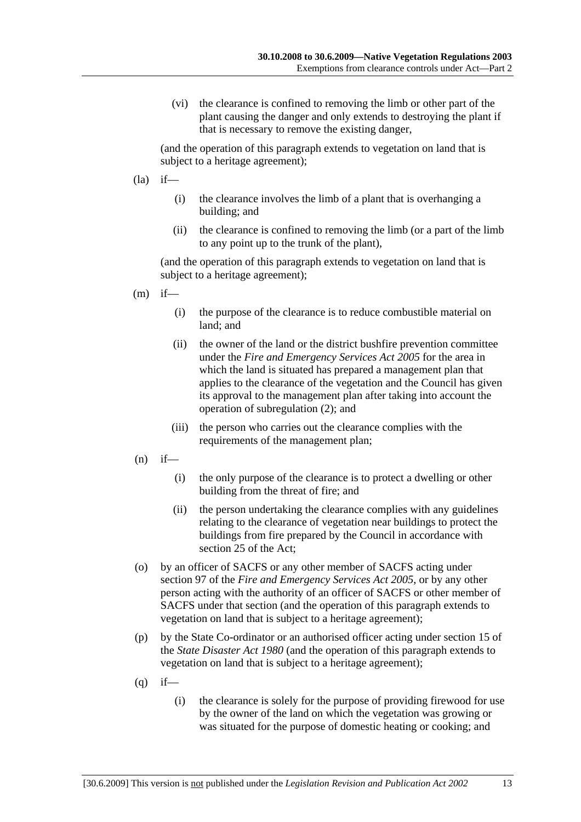(vi) the clearance is confined to removing the limb or other part of the plant causing the danger and only extends to destroying the plant if that is necessary to remove the existing danger,

(and the operation of this paragraph extends to vegetation on land that is subject to a heritage agreement);

- $(la)$  if—
	- (i) the clearance involves the limb of a plant that is overhanging a building; and
	- (ii) the clearance is confined to removing the limb (or a part of the limb to any point up to the trunk of the plant),

- $(m)$  if—
	- (i) the purpose of the clearance is to reduce combustible material on land; and
	- (ii) the owner of the land or the district bushfire prevention committee under the *Fire and Emergency Services Act 2005* for the area in which the land is situated has prepared a management plan that applies to the clearance of the vegetation and the Council has given its approval to the management plan after taking into account the operation of subregulation (2); and
	- (iii) the person who carries out the clearance complies with the requirements of the management plan;
- $(n)$  if—
	- (i) the only purpose of the clearance is to protect a dwelling or other building from the threat of fire; and
	- (ii) the person undertaking the clearance complies with any guidelines relating to the clearance of vegetation near buildings to protect the buildings from fire prepared by the Council in accordance with section 25 of the Act;
- (o) by an officer of SACFS or any other member of SACFS acting under section 97 of the *Fire and Emergency Services Act 2005*, or by any other person acting with the authority of an officer of SACFS or other member of SACFS under that section (and the operation of this paragraph extends to vegetation on land that is subject to a heritage agreement);
- (p) by the State Co-ordinator or an authorised officer acting under section 15 of the *State Disaster Act 1980* (and the operation of this paragraph extends to vegetation on land that is subject to a heritage agreement);
- $(q)$  if—
	- (i) the clearance is solely for the purpose of providing firewood for use by the owner of the land on which the vegetation was growing or was situated for the purpose of domestic heating or cooking; and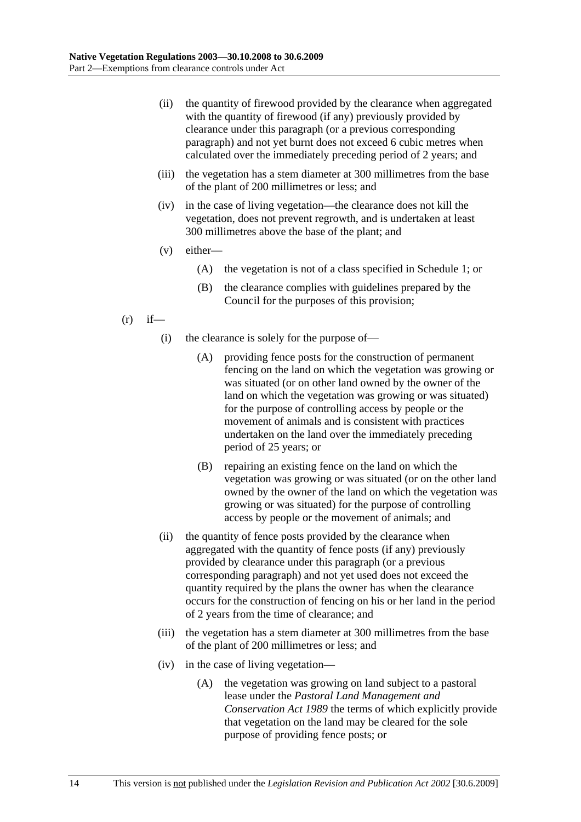- (ii) the quantity of firewood provided by the clearance when aggregated with the quantity of firewood (if any) previously provided by clearance under this paragraph (or a previous corresponding paragraph) and not yet burnt does not exceed 6 cubic metres when calculated over the immediately preceding period of 2 years; and
- (iii) the vegetation has a stem diameter at 300 millimetres from the base of the plant of 200 millimetres or less; and
- (iv) in the case of living vegetation—the clearance does not kill the vegetation, does not prevent regrowth, and is undertaken at least 300 millimetres above the base of the plant; and
- (v) either—
	- (A) the vegetation is not of a class specified in Schedule 1; or
	- (B) the clearance complies with guidelines prepared by the Council for the purposes of this provision;
- $(r)$  if—
	- (i) the clearance is solely for the purpose of—
		- (A) providing fence posts for the construction of permanent fencing on the land on which the vegetation was growing or was situated (or on other land owned by the owner of the land on which the vegetation was growing or was situated) for the purpose of controlling access by people or the movement of animals and is consistent with practices undertaken on the land over the immediately preceding period of 25 years; or
		- (B) repairing an existing fence on the land on which the vegetation was growing or was situated (or on the other land owned by the owner of the land on which the vegetation was growing or was situated) for the purpose of controlling access by people or the movement of animals; and
	- (ii) the quantity of fence posts provided by the clearance when aggregated with the quantity of fence posts (if any) previously provided by clearance under this paragraph (or a previous corresponding paragraph) and not yet used does not exceed the quantity required by the plans the owner has when the clearance occurs for the construction of fencing on his or her land in the period of 2 years from the time of clearance; and
	- (iii) the vegetation has a stem diameter at 300 millimetres from the base of the plant of 200 millimetres or less; and
	- (iv) in the case of living vegetation—
		- (A) the vegetation was growing on land subject to a pastoral lease under the *Pastoral Land Management and Conservation Act 1989* the terms of which explicitly provide that vegetation on the land may be cleared for the sole purpose of providing fence posts; or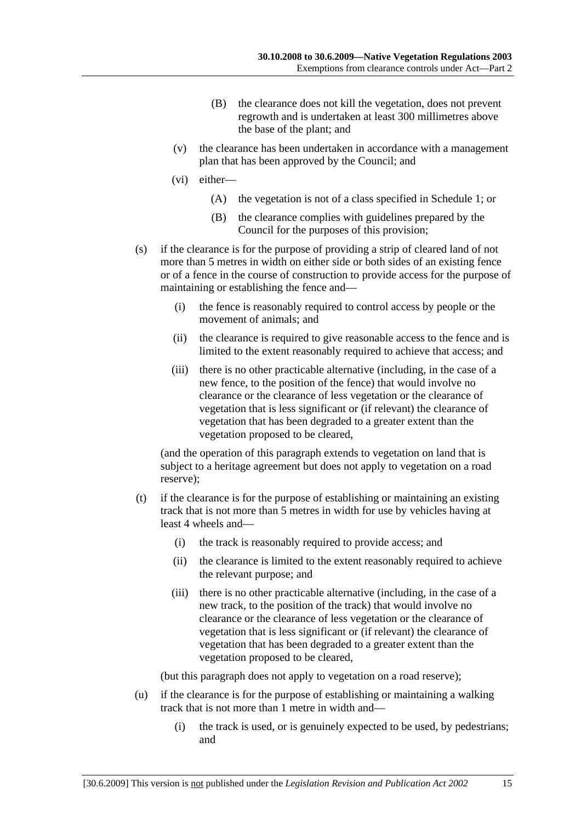- (B) the clearance does not kill the vegetation, does not prevent regrowth and is undertaken at least 300 millimetres above the base of the plant; and
- (v) the clearance has been undertaken in accordance with a management plan that has been approved by the Council; and
- (vi) either—
	- (A) the vegetation is not of a class specified in Schedule 1; or
	- (B) the clearance complies with guidelines prepared by the Council for the purposes of this provision;
- (s) if the clearance is for the purpose of providing a strip of cleared land of not more than 5 metres in width on either side or both sides of an existing fence or of a fence in the course of construction to provide access for the purpose of maintaining or establishing the fence and—
	- (i) the fence is reasonably required to control access by people or the movement of animals; and
	- (ii) the clearance is required to give reasonable access to the fence and is limited to the extent reasonably required to achieve that access; and
	- (iii) there is no other practicable alternative (including, in the case of a new fence, to the position of the fence) that would involve no clearance or the clearance of less vegetation or the clearance of vegetation that is less significant or (if relevant) the clearance of vegetation that has been degraded to a greater extent than the vegetation proposed to be cleared,

(and the operation of this paragraph extends to vegetation on land that is subject to a heritage agreement but does not apply to vegetation on a road reserve);

- (t) if the clearance is for the purpose of establishing or maintaining an existing track that is not more than 5 metres in width for use by vehicles having at least 4 wheels and—
	- (i) the track is reasonably required to provide access; and
	- (ii) the clearance is limited to the extent reasonably required to achieve the relevant purpose; and
	- (iii) there is no other practicable alternative (including, in the case of a new track, to the position of the track) that would involve no clearance or the clearance of less vegetation or the clearance of vegetation that is less significant or (if relevant) the clearance of vegetation that has been degraded to a greater extent than the vegetation proposed to be cleared,

(but this paragraph does not apply to vegetation on a road reserve);

- (u) if the clearance is for the purpose of establishing or maintaining a walking track that is not more than 1 metre in width and—
	- (i) the track is used, or is genuinely expected to be used, by pedestrians; and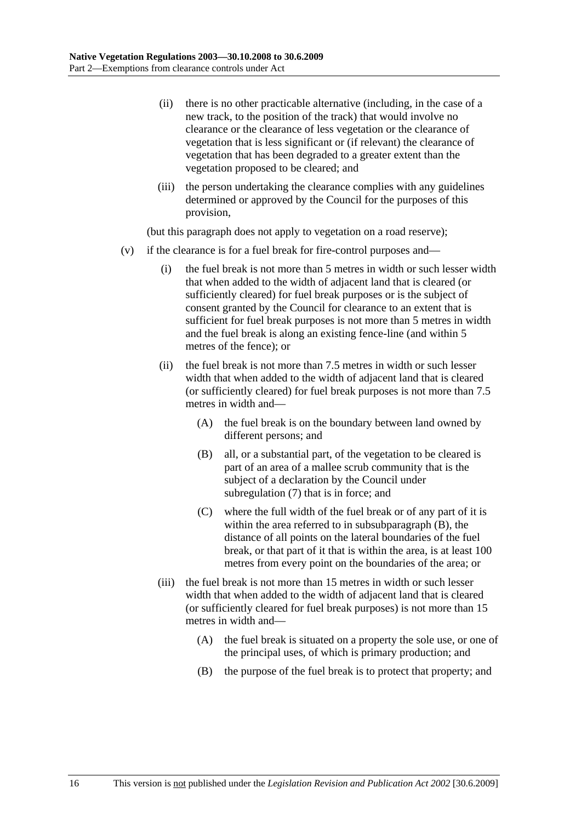- (ii) there is no other practicable alternative (including, in the case of a new track, to the position of the track) that would involve no clearance or the clearance of less vegetation or the clearance of vegetation that is less significant or (if relevant) the clearance of vegetation that has been degraded to a greater extent than the vegetation proposed to be cleared; and
- (iii) the person undertaking the clearance complies with any guidelines determined or approved by the Council for the purposes of this provision,

(but this paragraph does not apply to vegetation on a road reserve);

- (v) if the clearance is for a fuel break for fire-control purposes and—
	- (i) the fuel break is not more than 5 metres in width or such lesser width that when added to the width of adjacent land that is cleared (or sufficiently cleared) for fuel break purposes or is the subject of consent granted by the Council for clearance to an extent that is sufficient for fuel break purposes is not more than 5 metres in width and the fuel break is along an existing fence-line (and within 5 metres of the fence); or
	- (ii) the fuel break is not more than 7.5 metres in width or such lesser width that when added to the width of adjacent land that is cleared (or sufficiently cleared) for fuel break purposes is not more than 7.5 metres in width and—
		- (A) the fuel break is on the boundary between land owned by different persons; and
		- (B) all, or a substantial part, of the vegetation to be cleared is part of an area of a mallee scrub community that is the subject of a declaration by the Council under subregulation (7) that is in force; and
		- (C) where the full width of the fuel break or of any part of it is within the area referred to in subsubparagraph (B), the distance of all points on the lateral boundaries of the fuel break, or that part of it that is within the area, is at least 100 metres from every point on the boundaries of the area; or
	- (iii) the fuel break is not more than 15 metres in width or such lesser width that when added to the width of adjacent land that is cleared (or sufficiently cleared for fuel break purposes) is not more than 15 metres in width and—
		- (A) the fuel break is situated on a property the sole use, or one of the principal uses, of which is primary production; and
		- (B) the purpose of the fuel break is to protect that property; and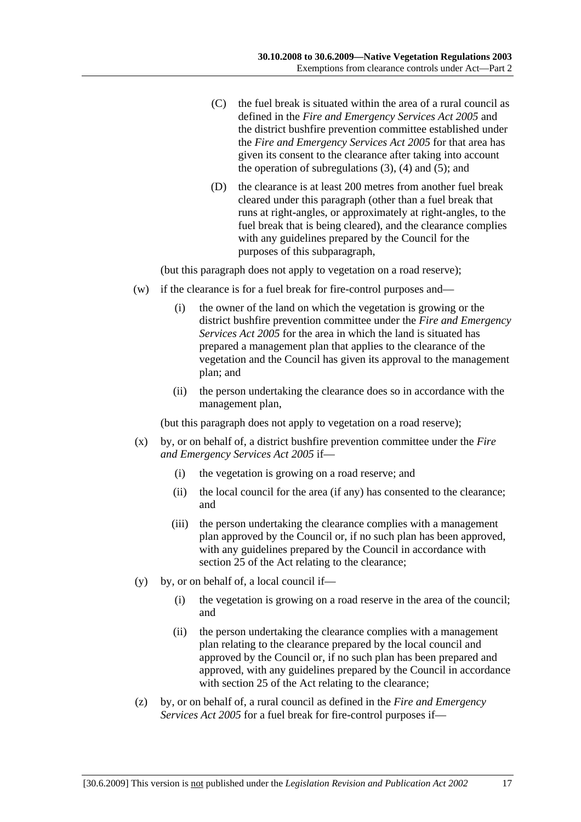- (C) the fuel break is situated within the area of a rural council as defined in the *Fire and Emergency Services Act 2005* and the district bushfire prevention committee established under the *Fire and Emergency Services Act 2005* for that area has given its consent to the clearance after taking into account the operation of subregulations  $(3)$ ,  $(4)$  and  $(5)$ ; and
- (D) the clearance is at least 200 metres from another fuel break cleared under this paragraph (other than a fuel break that runs at right-angles, or approximately at right-angles, to the fuel break that is being cleared), and the clearance complies with any guidelines prepared by the Council for the purposes of this subparagraph,

(but this paragraph does not apply to vegetation on a road reserve);

- (w) if the clearance is for a fuel break for fire-control purposes and—
	- (i) the owner of the land on which the vegetation is growing or the district bushfire prevention committee under the *Fire and Emergency Services Act 2005* for the area in which the land is situated has prepared a management plan that applies to the clearance of the vegetation and the Council has given its approval to the management plan; and
	- (ii) the person undertaking the clearance does so in accordance with the management plan,

(but this paragraph does not apply to vegetation on a road reserve);

- (x) by, or on behalf of, a district bushfire prevention committee under the *Fire and Emergency Services Act 2005* if—
	- (i) the vegetation is growing on a road reserve; and
	- (ii) the local council for the area (if any) has consented to the clearance; and
	- (iii) the person undertaking the clearance complies with a management plan approved by the Council or, if no such plan has been approved, with any guidelines prepared by the Council in accordance with section 25 of the Act relating to the clearance;
- (y) by, or on behalf of, a local council if—
	- (i) the vegetation is growing on a road reserve in the area of the council; and
	- (ii) the person undertaking the clearance complies with a management plan relating to the clearance prepared by the local council and approved by the Council or, if no such plan has been prepared and approved, with any guidelines prepared by the Council in accordance with section 25 of the Act relating to the clearance;
- (z) by, or on behalf of, a rural council as defined in the *Fire and Emergency Services Act 2005* for a fuel break for fire-control purposes if—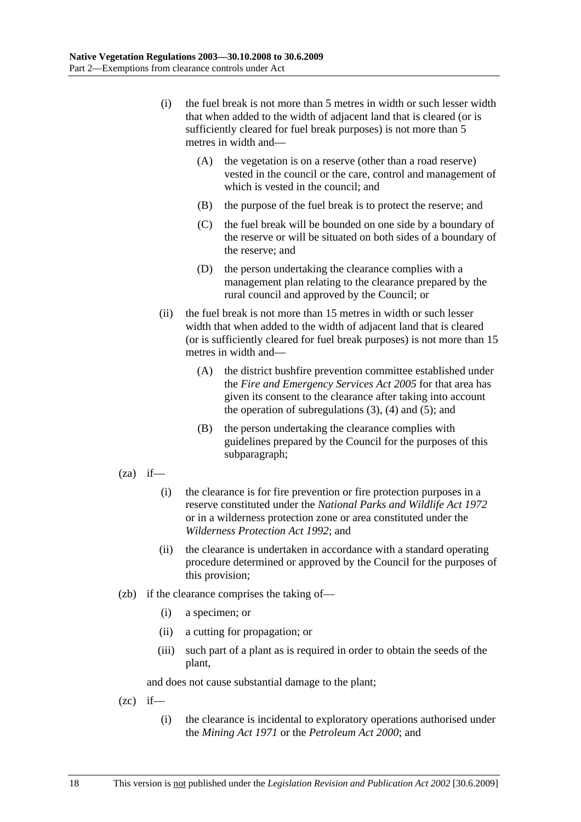- (i) the fuel break is not more than 5 metres in width or such lesser width that when added to the width of adjacent land that is cleared (or is sufficiently cleared for fuel break purposes) is not more than 5 metres in width and—
	- (A) the vegetation is on a reserve (other than a road reserve) vested in the council or the care, control and management of which is vested in the council; and
	- (B) the purpose of the fuel break is to protect the reserve; and
	- (C) the fuel break will be bounded on one side by a boundary of the reserve or will be situated on both sides of a boundary of the reserve; and
	- (D) the person undertaking the clearance complies with a management plan relating to the clearance prepared by the rural council and approved by the Council; or
- (ii) the fuel break is not more than 15 metres in width or such lesser width that when added to the width of adjacent land that is cleared (or is sufficiently cleared for fuel break purposes) is not more than 15 metres in width and—
	- (A) the district bushfire prevention committee established under the *Fire and Emergency Services Act 2005* for that area has given its consent to the clearance after taking into account the operation of subregulations  $(3)$ ,  $(4)$  and  $(5)$ ; and
	- (B) the person undertaking the clearance complies with guidelines prepared by the Council for the purposes of this subparagraph;
- $(za)$  if—
	- (i) the clearance is for fire prevention or fire protection purposes in a reserve constituted under the *National Parks and Wildlife Act 1972* or in a wilderness protection zone or area constituted under the *Wilderness Protection Act 1992*; and
	- (ii) the clearance is undertaken in accordance with a standard operating procedure determined or approved by the Council for the purposes of this provision;
- (zb) if the clearance comprises the taking of—
	- (i) a specimen; or
	- (ii) a cutting for propagation; or
	- (iii) such part of a plant as is required in order to obtain the seeds of the plant,

and does not cause substantial damage to the plant;

 $(zc)$  if—

 (i) the clearance is incidental to exploratory operations authorised under the *Mining Act 1971* or the *Petroleum Act 2000*; and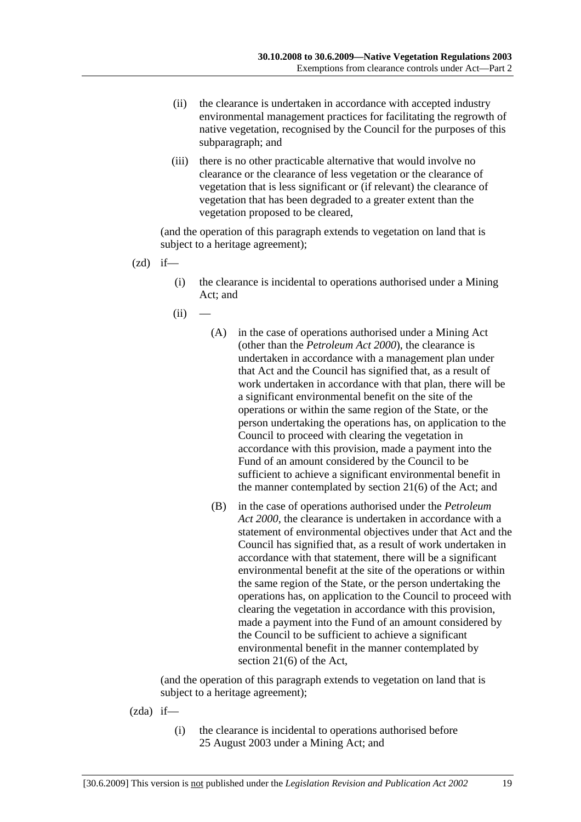- (ii) the clearance is undertaken in accordance with accepted industry environmental management practices for facilitating the regrowth of native vegetation, recognised by the Council for the purposes of this subparagraph; and
- (iii) there is no other practicable alternative that would involve no clearance or the clearance of less vegetation or the clearance of vegetation that is less significant or (if relevant) the clearance of vegetation that has been degraded to a greater extent than the vegetation proposed to be cleared,

(and the operation of this paragraph extends to vegetation on land that is subject to a heritage agreement);

- $(zd)$  if—
	- (i) the clearance is incidental to operations authorised under a Mining Act; and
	- $(ii)$ 
		- (A) in the case of operations authorised under a Mining Act (other than the *Petroleum Act 2000*), the clearance is undertaken in accordance with a management plan under that Act and the Council has signified that, as a result of work undertaken in accordance with that plan, there will be a significant environmental benefit on the site of the operations or within the same region of the State, or the person undertaking the operations has, on application to the Council to proceed with clearing the vegetation in accordance with this provision, made a payment into the Fund of an amount considered by the Council to be sufficient to achieve a significant environmental benefit in the manner contemplated by section 21(6) of the Act; and
		- (B) in the case of operations authorised under the *Petroleum Act 2000*, the clearance is undertaken in accordance with a statement of environmental objectives under that Act and the Council has signified that, as a result of work undertaken in accordance with that statement, there will be a significant environmental benefit at the site of the operations or within the same region of the State, or the person undertaking the operations has, on application to the Council to proceed with clearing the vegetation in accordance with this provision, made a payment into the Fund of an amount considered by the Council to be sufficient to achieve a significant environmental benefit in the manner contemplated by section 21(6) of the Act,

- (zda) if—
	- (i) the clearance is incidental to operations authorised before 25 August 2003 under a Mining Act; and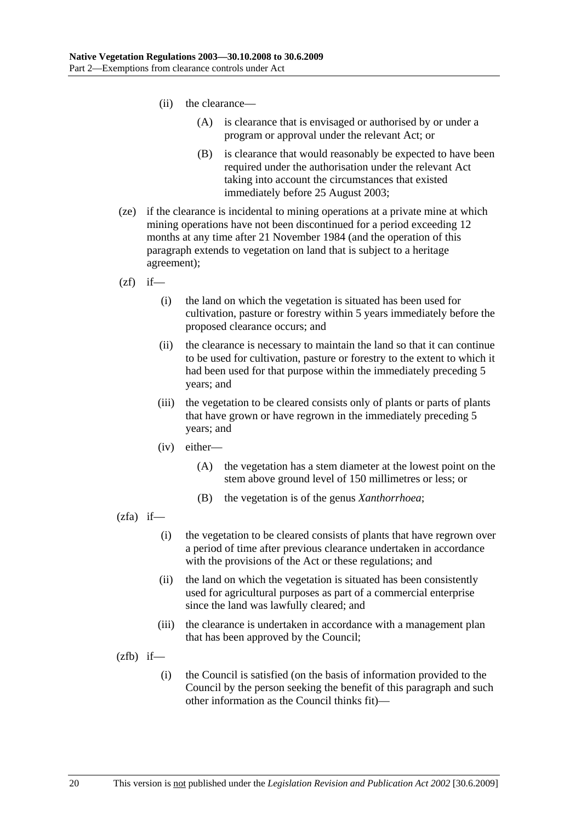- (ii) the clearance—
	- (A) is clearance that is envisaged or authorised by or under a program or approval under the relevant Act; or
	- (B) is clearance that would reasonably be expected to have been required under the authorisation under the relevant Act taking into account the circumstances that existed immediately before 25 August 2003;
- (ze) if the clearance is incidental to mining operations at a private mine at which mining operations have not been discontinued for a period exceeding 12 months at any time after 21 November 1984 (and the operation of this paragraph extends to vegetation on land that is subject to a heritage agreement);
- $(zf)$  if—
	- (i) the land on which the vegetation is situated has been used for cultivation, pasture or forestry within 5 years immediately before the proposed clearance occurs; and
	- (ii) the clearance is necessary to maintain the land so that it can continue to be used for cultivation, pasture or forestry to the extent to which it had been used for that purpose within the immediately preceding 5 years; and
	- (iii) the vegetation to be cleared consists only of plants or parts of plants that have grown or have regrown in the immediately preceding 5 years; and
	- (iv) either—
		- (A) the vegetation has a stem diameter at the lowest point on the stem above ground level of 150 millimetres or less; or
		- (B) the vegetation is of the genus *Xanthorrhoea*;
- $(zfa)$  if—
	- (i) the vegetation to be cleared consists of plants that have regrown over a period of time after previous clearance undertaken in accordance with the provisions of the Act or these regulations; and
	- (ii) the land on which the vegetation is situated has been consistently used for agricultural purposes as part of a commercial enterprise since the land was lawfully cleared; and
	- (iii) the clearance is undertaken in accordance with a management plan that has been approved by the Council;
- $(zfb)$  if—
	- (i) the Council is satisfied (on the basis of information provided to the Council by the person seeking the benefit of this paragraph and such other information as the Council thinks fit)—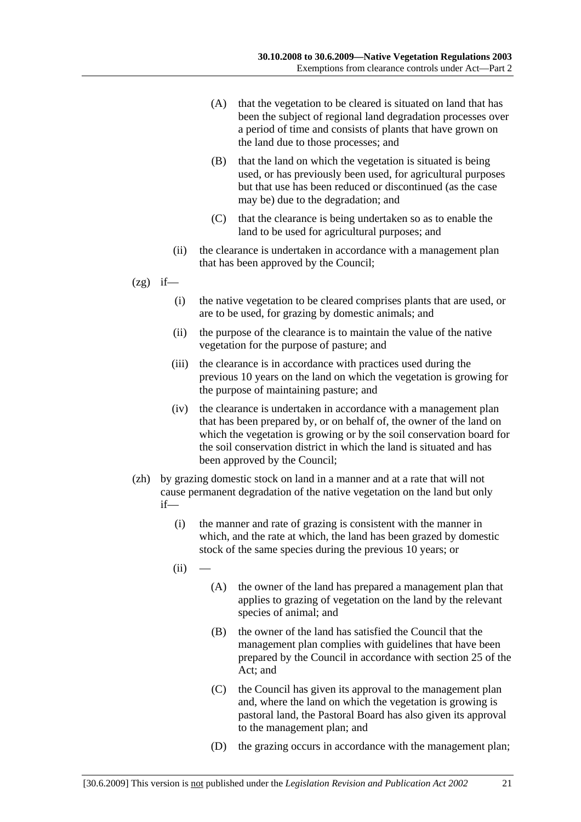- (A) that the vegetation to be cleared is situated on land that has been the subject of regional land degradation processes over a period of time and consists of plants that have grown on the land due to those processes; and
- (B) that the land on which the vegetation is situated is being used, or has previously been used, for agricultural purposes but that use has been reduced or discontinued (as the case may be) due to the degradation; and
- (C) that the clearance is being undertaken so as to enable the land to be used for agricultural purposes; and
- (ii) the clearance is undertaken in accordance with a management plan that has been approved by the Council;
- $(2g)$  if—
	- (i) the native vegetation to be cleared comprises plants that are used, or are to be used, for grazing by domestic animals; and
	- (ii) the purpose of the clearance is to maintain the value of the native vegetation for the purpose of pasture; and
	- (iii) the clearance is in accordance with practices used during the previous 10 years on the land on which the vegetation is growing for the purpose of maintaining pasture; and
	- (iv) the clearance is undertaken in accordance with a management plan that has been prepared by, or on behalf of, the owner of the land on which the vegetation is growing or by the soil conservation board for the soil conservation district in which the land is situated and has been approved by the Council;
- (zh) by grazing domestic stock on land in a manner and at a rate that will not cause permanent degradation of the native vegetation on the land but only if—
	- (i) the manner and rate of grazing is consistent with the manner in which, and the rate at which, the land has been grazed by domestic stock of the same species during the previous 10 years; or
	- $(ii)$
- (A) the owner of the land has prepared a management plan that applies to grazing of vegetation on the land by the relevant species of animal; and
- (B) the owner of the land has satisfied the Council that the management plan complies with guidelines that have been prepared by the Council in accordance with section 25 of the Act; and
- (C) the Council has given its approval to the management plan and, where the land on which the vegetation is growing is pastoral land, the Pastoral Board has also given its approval to the management plan; and
- (D) the grazing occurs in accordance with the management plan;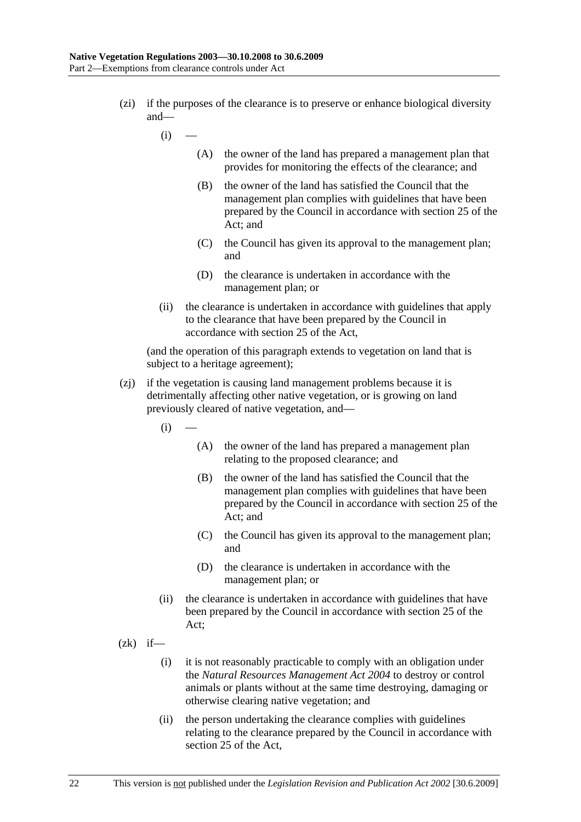- (zi) if the purposes of the clearance is to preserve or enhance biological diversity and—
	- $(i)$
- (A) the owner of the land has prepared a management plan that provides for monitoring the effects of the clearance; and
- (B) the owner of the land has satisfied the Council that the management plan complies with guidelines that have been prepared by the Council in accordance with section 25 of the Act; and
- (C) the Council has given its approval to the management plan; and
- (D) the clearance is undertaken in accordance with the management plan; or
- (ii) the clearance is undertaken in accordance with guidelines that apply to the clearance that have been prepared by the Council in accordance with section 25 of the Act,

- (zj) if the vegetation is causing land management problems because it is detrimentally affecting other native vegetation, or is growing on land previously cleared of native vegetation, and—
	- $(i)$ 
		- (A) the owner of the land has prepared a management plan relating to the proposed clearance; and
		- (B) the owner of the land has satisfied the Council that the management plan complies with guidelines that have been prepared by the Council in accordance with section 25 of the Act; and
		- (C) the Council has given its approval to the management plan; and
		- (D) the clearance is undertaken in accordance with the management plan; or
	- (ii) the clearance is undertaken in accordance with guidelines that have been prepared by the Council in accordance with section 25 of the Act;
- $(zk)$  if—
	- (i) it is not reasonably practicable to comply with an obligation under the *Natural Resources Management Act 2004* to destroy or control animals or plants without at the same time destroying, damaging or otherwise clearing native vegetation; and
	- (ii) the person undertaking the clearance complies with guidelines relating to the clearance prepared by the Council in accordance with section 25 of the Act,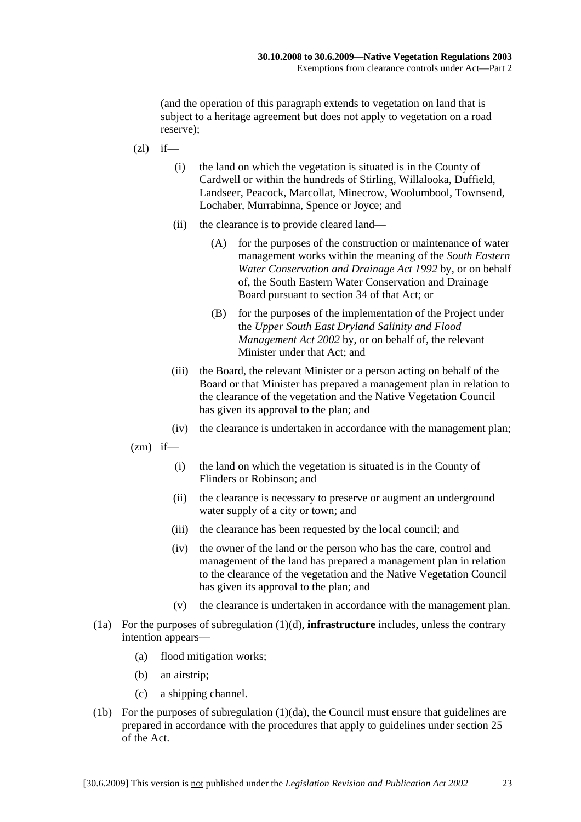(and the operation of this paragraph extends to vegetation on land that is subject to a heritage agreement but does not apply to vegetation on a road reserve);

- $(zl)$  if—
	- (i) the land on which the vegetation is situated is in the County of Cardwell or within the hundreds of Stirling, Willalooka, Duffield, Landseer, Peacock, Marcollat, Minecrow, Woolumbool, Townsend, Lochaber, Murrabinna, Spence or Joyce; and
	- (ii) the clearance is to provide cleared land—
		- (A) for the purposes of the construction or maintenance of water management works within the meaning of the *South Eastern Water Conservation and Drainage Act 1992* by, or on behalf of, the South Eastern Water Conservation and Drainage Board pursuant to section 34 of that Act; or
		- (B) for the purposes of the implementation of the Project under the *Upper South East Dryland Salinity and Flood Management Act 2002* by, or on behalf of, the relevant Minister under that Act; and
	- (iii) the Board, the relevant Minister or a person acting on behalf of the Board or that Minister has prepared a management plan in relation to the clearance of the vegetation and the Native Vegetation Council has given its approval to the plan; and
	- (iv) the clearance is undertaken in accordance with the management plan;
- $(zm)$  if—
	- (i) the land on which the vegetation is situated is in the County of Flinders or Robinson; and
	- (ii) the clearance is necessary to preserve or augment an underground water supply of a city or town; and
	- (iii) the clearance has been requested by the local council; and
	- (iv) the owner of the land or the person who has the care, control and management of the land has prepared a management plan in relation to the clearance of the vegetation and the Native Vegetation Council has given its approval to the plan; and
	- (v) the clearance is undertaken in accordance with the management plan.
- (1a) For the purposes of subregulation (1)(d), **infrastructure** includes, unless the contrary intention appears—
	- (a) flood mitigation works;
	- (b) an airstrip;
	- (c) a shipping channel.
- (1b) For the purposes of subregulation (1)(da), the Council must ensure that guidelines are prepared in accordance with the procedures that apply to guidelines under section 25 of the Act.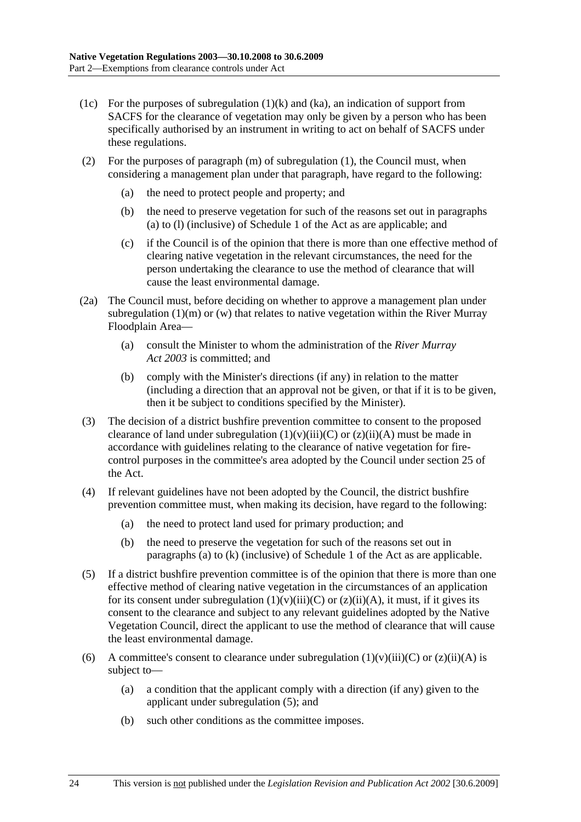- (1c) For the purposes of subregulation  $(1)(k)$  and  $(ka)$ , an indication of support from SACFS for the clearance of vegetation may only be given by a person who has been specifically authorised by an instrument in writing to act on behalf of SACFS under these regulations.
- (2) For the purposes of paragraph (m) of subregulation (1), the Council must, when considering a management plan under that paragraph, have regard to the following:
	- (a) the need to protect people and property; and
	- (b) the need to preserve vegetation for such of the reasons set out in paragraphs (a) to (l) (inclusive) of Schedule 1 of the Act as are applicable; and
	- (c) if the Council is of the opinion that there is more than one effective method of clearing native vegetation in the relevant circumstances, the need for the person undertaking the clearance to use the method of clearance that will cause the least environmental damage.
- (2a) The Council must, before deciding on whether to approve a management plan under subregulation  $(1)(m)$  or  $(w)$  that relates to native vegetation within the River Murray Floodplain Area—
	- (a) consult the Minister to whom the administration of the *River Murray Act 2003* is committed; and
	- (b) comply with the Minister's directions (if any) in relation to the matter (including a direction that an approval not be given, or that if it is to be given, then it be subject to conditions specified by the Minister).
- (3) The decision of a district bushfire prevention committee to consent to the proposed clearance of land under subregulation  $(1)(v)(iii)(C)$  or  $(z)(ii)(A)$  must be made in accordance with guidelines relating to the clearance of native vegetation for firecontrol purposes in the committee's area adopted by the Council under section 25 of the Act.
- (4) If relevant guidelines have not been adopted by the Council, the district bushfire prevention committee must, when making its decision, have regard to the following:
	- (a) the need to protect land used for primary production; and
	- (b) the need to preserve the vegetation for such of the reasons set out in paragraphs (a) to (k) (inclusive) of Schedule 1 of the Act as are applicable.
- (5) If a district bushfire prevention committee is of the opinion that there is more than one effective method of clearing native vegetation in the circumstances of an application for its consent under subregulation  $(1)(v)(iii)(C)$  or  $(z)(ii)(A)$ , it must, if it gives its consent to the clearance and subject to any relevant guidelines adopted by the Native Vegetation Council, direct the applicant to use the method of clearance that will cause the least environmental damage.
- (6) A committee's consent to clearance under subregulation  $(1)(v)(iii)(C)$  or  $(z)(ii)(A)$  is subject to—
	- (a) a condition that the applicant comply with a direction (if any) given to the applicant under subregulation (5); and
	- (b) such other conditions as the committee imposes.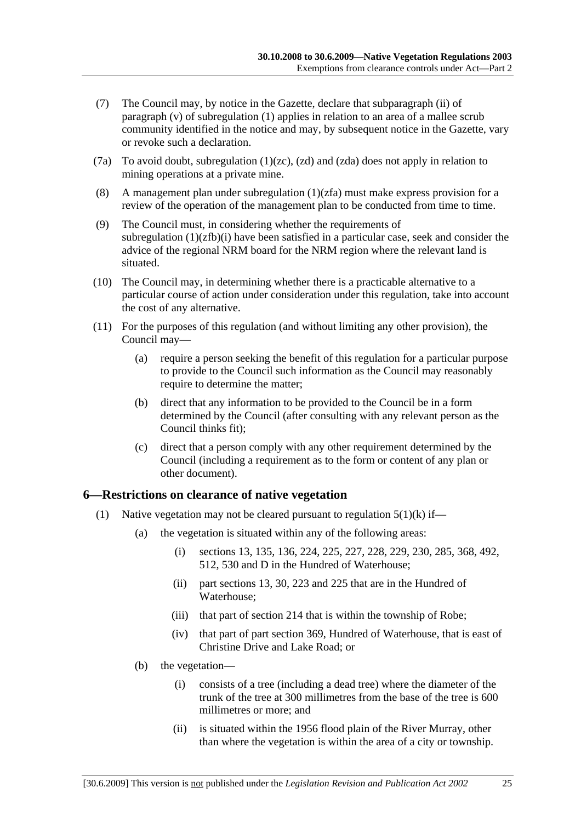- (7) The Council may, by notice in the Gazette, declare that subparagraph (ii) of paragraph (v) of subregulation (1) applies in relation to an area of a mallee scrub community identified in the notice and may, by subsequent notice in the Gazette, vary or revoke such a declaration.
- (7a) To avoid doubt, subregulation (1)(zc), (zd) and (zda) does not apply in relation to mining operations at a private mine.
- (8) A management plan under subregulation (1)(zfa) must make express provision for a review of the operation of the management plan to be conducted from time to time.
- (9) The Council must, in considering whether the requirements of subregulation  $(1)(zfb)(i)$  have been satisfied in a particular case, seek and consider the advice of the regional NRM board for the NRM region where the relevant land is situated.
- (10) The Council may, in determining whether there is a practicable alternative to a particular course of action under consideration under this regulation, take into account the cost of any alternative.
- (11) For the purposes of this regulation (and without limiting any other provision), the Council may—
	- (a) require a person seeking the benefit of this regulation for a particular purpose to provide to the Council such information as the Council may reasonably require to determine the matter;
	- (b) direct that any information to be provided to the Council be in a form determined by the Council (after consulting with any relevant person as the Council thinks fit);
	- (c) direct that a person comply with any other requirement determined by the Council (including a requirement as to the form or content of any plan or other document).

### **6—Restrictions on clearance of native vegetation**

- (1) Native vegetation may not be cleared pursuant to regulation  $5(1)(k)$  if—
	- (a) the vegetation is situated within any of the following areas:
		- (i) sections 13, 135, 136, 224, 225, 227, 228, 229, 230, 285, 368, 492, 512, 530 and D in the Hundred of Waterhouse;
		- (ii) part sections 13, 30, 223 and 225 that are in the Hundred of Waterhouse;
		- (iii) that part of section 214 that is within the township of Robe;
		- (iv) that part of part section 369, Hundred of Waterhouse, that is east of Christine Drive and Lake Road; or
	- (b) the vegetation—
		- (i) consists of a tree (including a dead tree) where the diameter of the trunk of the tree at 300 millimetres from the base of the tree is 600 millimetres or more; and
		- (ii) is situated within the 1956 flood plain of the River Murray, other than where the vegetation is within the area of a city or township.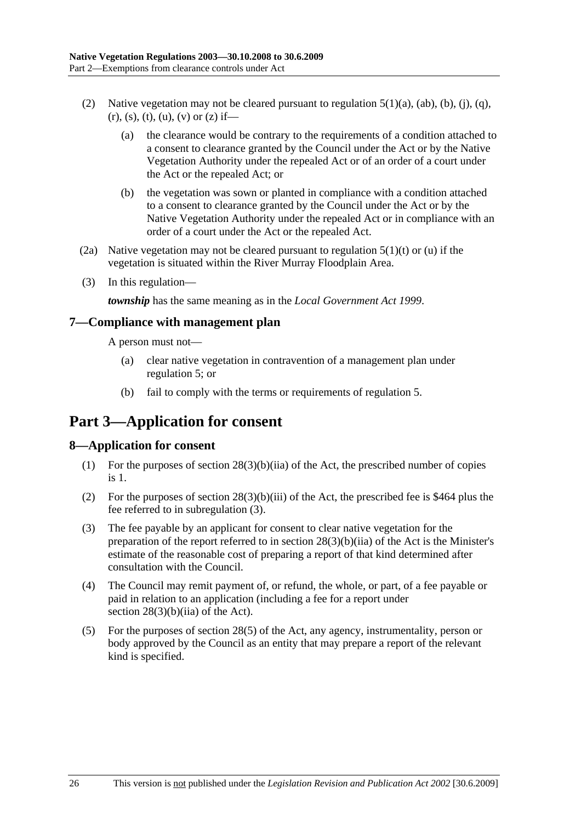- (2) Native vegetation may not be cleared pursuant to regulation  $5(1)(a)$ ,  $(ab)$ ,  $(b)$ ,  $(i)$ ,  $(a)$ ,  $(r), (s), (t), (u), (v)$  or  $(z)$  if—
	- (a) the clearance would be contrary to the requirements of a condition attached to a consent to clearance granted by the Council under the Act or by the Native Vegetation Authority under the repealed Act or of an order of a court under the Act or the repealed Act; or
	- (b) the vegetation was sown or planted in compliance with a condition attached to a consent to clearance granted by the Council under the Act or by the Native Vegetation Authority under the repealed Act or in compliance with an order of a court under the Act or the repealed Act.
- (2a) Native vegetation may not be cleared pursuant to regulation  $5(1)(t)$  or (u) if the vegetation is situated within the River Murray Floodplain Area.
- (3) In this regulation—

*township* has the same meaning as in the *Local Government Act 1999*.

#### **7—Compliance with management plan**

A person must not—

- (a) clear native vegetation in contravention of a management plan under regulation 5; or
- (b) fail to comply with the terms or requirements of regulation 5.

# **Part 3—Application for consent**

### **8—Application for consent**

- (1) For the purposes of section 28(3)(b)(iia) of the Act, the prescribed number of copies is 1.
- (2) For the purposes of section 28(3)(b)(iii) of the Act, the prescribed fee is \$464 plus the fee referred to in subregulation (3).
- (3) The fee payable by an applicant for consent to clear native vegetation for the preparation of the report referred to in section 28(3)(b)(iia) of the Act is the Minister's estimate of the reasonable cost of preparing a report of that kind determined after consultation with the Council.
- (4) The Council may remit payment of, or refund, the whole, or part, of a fee payable or paid in relation to an application (including a fee for a report under section  $28(3)(b)(ii)$  of the Act).
- (5) For the purposes of section 28(5) of the Act, any agency, instrumentality, person or body approved by the Council as an entity that may prepare a report of the relevant kind is specified.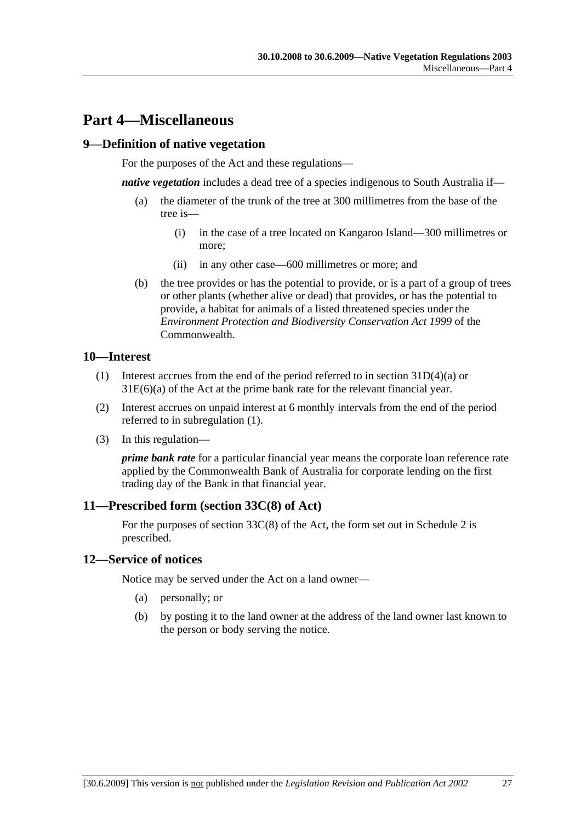## **Part 4—Miscellaneous**

### **9—Definition of native vegetation**

For the purposes of the Act and these regulations—

*native vegetation* includes a dead tree of a species indigenous to South Australia if—

- (a) the diameter of the trunk of the tree at 300 millimetres from the base of the tree is—
	- (i) in the case of a tree located on Kangaroo Island—300 millimetres or more;
	- (ii) in any other case—600 millimetres or more; and
- (b) the tree provides or has the potential to provide, or is a part of a group of trees or other plants (whether alive or dead) that provides, or has the potential to provide, a habitat for animals of a listed threatened species under the *Environment Protection and Biodiversity Conservation Act 1999* of the Commonwealth.

#### **10—Interest**

- (1) Interest accrues from the end of the period referred to in section 31D(4)(a) or 31E(6)(a) of the Act at the prime bank rate for the relevant financial year.
- (2) Interest accrues on unpaid interest at 6 monthly intervals from the end of the period referred to in subregulation (1).
- (3) In this regulation—

*prime bank rate* for a particular financial year means the corporate loan reference rate applied by the Commonwealth Bank of Australia for corporate lending on the first trading day of the Bank in that financial year.

### **11—Prescribed form (section 33C(8) of Act)**

For the purposes of section 33C(8) of the Act, the form set out in Schedule 2 is prescribed.

#### **12—Service of notices**

Notice may be served under the Act on a land owner—

- (a) personally; or
- (b) by posting it to the land owner at the address of the land owner last known to the person or body serving the notice.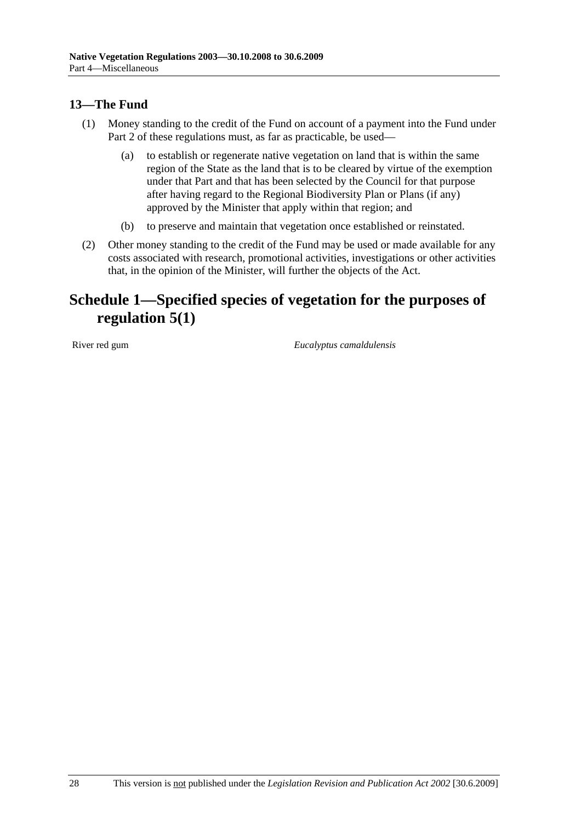## **13—The Fund**

- (1) Money standing to the credit of the Fund on account of a payment into the Fund under Part 2 of these regulations must, as far as practicable, be used—
	- (a) to establish or regenerate native vegetation on land that is within the same region of the State as the land that is to be cleared by virtue of the exemption under that Part and that has been selected by the Council for that purpose after having regard to the Regional Biodiversity Plan or Plans (if any) approved by the Minister that apply within that region; and
	- (b) to preserve and maintain that vegetation once established or reinstated.
- (2) Other money standing to the credit of the Fund may be used or made available for any costs associated with research, promotional activities, investigations or other activities that, in the opinion of the Minister, will further the objects of the Act.

# **Schedule 1—Specified species of vegetation for the purposes of regulation 5(1)**

River red gum *Eucalyptus camaldulensis*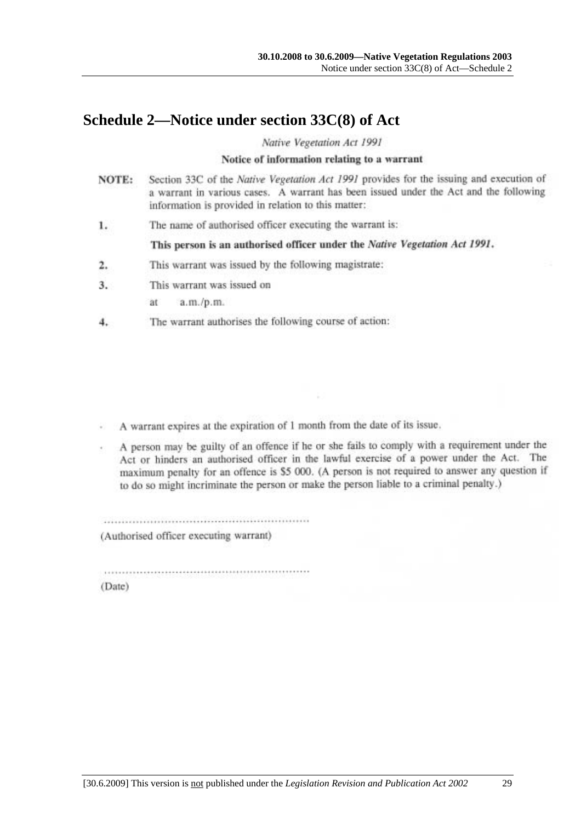## **Schedule 2—Notice under section 33C(8) of Act**

Native Vegetation Act 1991

#### Notice of information relating to a warrant

- Section 33C of the Native Vegetation Act 1991 provides for the issuing and execution of NOTE: a warrant in various cases. A warrant has been issued under the Act and the following information is provided in relation to this matter:
- The name of authorised officer executing the warrant is: 1.

This person is an authorised officer under the Native Vegetation Act 1991.

- This warrant was issued by the following magistrate: 2.
- This warrant was issued on 3.

 $a.m./p.m.$ ät

The warrant authorises the following course of action: 4.

A warrant expires at the expiration of 1 month from the date of its issue.

A person may be guilty of an offence if he or she fails to comply with a requirement under the Act or hinders an authorised officer in the lawful exercise of a power under the Act. The maximum penalty for an offence is \$5 000. (A person is not required to answer any question if to do so might incriminate the person or make the person liable to a criminal penalty.)

(Authorised officer executing warrant)

(Date)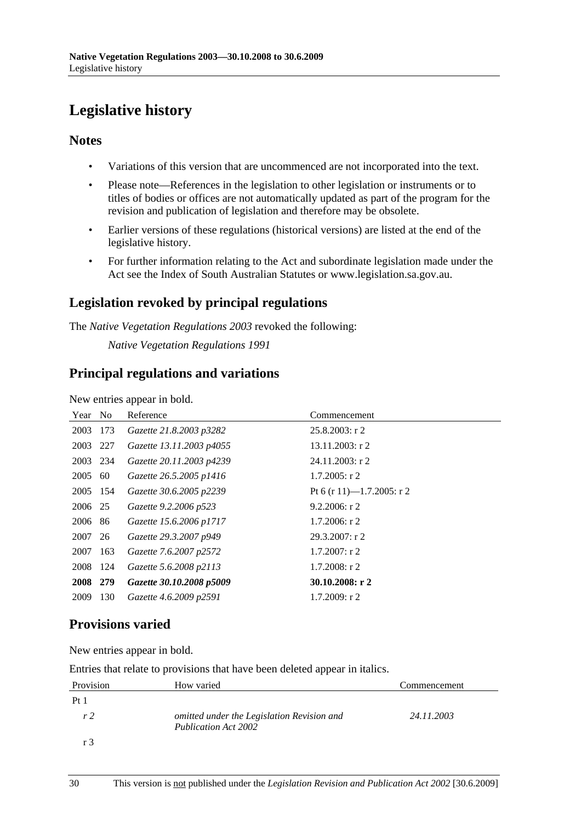# **Legislative history**

### **Notes**

- Variations of this version that are uncommenced are not incorporated into the text.
- Please note—References in the legislation to other legislation or instruments or to titles of bodies or offices are not automatically updated as part of the program for the revision and publication of legislation and therefore may be obsolete.
- Earlier versions of these regulations (historical versions) are listed at the end of the legislative history.
- For further information relating to the Act and subordinate legislation made under the Act see the Index of South Australian Statutes or www.legislation.sa.gov.au.

## **Legislation revoked by principal regulations**

The *Native Vegetation Regulations 2003* revoked the following:

*Native Vegetation Regulations 1991*

### **Principal regulations and variations**

New entries appear in bold.

| Year No  |     | Reference                | Commencement              |
|----------|-----|--------------------------|---------------------------|
| 2003     | 173 | Gazette 21.8.2003 p3282  | $25.8.2003$ : r 2         |
| 2003     | 227 | Gazette 13.11.2003 p4055 | $13.11.2003$ : r 2        |
| 2003 234 |     | Gazette 20.11.2003 p4239 | $24.11.2003$ : r 2        |
| 2005     | 60  | Gazette 26.5.2005 p1416  | $1.7.2005$ : r 2          |
| 2005 154 |     | Gazette 30.6.2005 p2239  | Pt 6 (r 11)—1.7.2005: r 2 |
| 2006 25  |     | Gazette 9.2.2006 p523    | $9.2.2006$ : r 2          |
| 2006     | 86  | Gazette 15.6.2006 p1717  | $1.7.2006$ : r 2          |
| 2007     | 26  | Gazette 29.3.2007 p949   | 29.3.2007: r2             |
| 2007     | 163 | Gazette 7.6.2007 p2572   | $1.7.2007$ : r 2          |
| 2008     | 124 | Gazette 5.6.2008 p2113   | $1.7.2008$ : r 2          |
| 2008 279 |     | Gazette 30.10.2008 p5009 | 30.10.2008: r 2           |
| 2009     | 130 | Gazette 4.6.2009 p2591   | $1.7.2009$ : r 2          |

## **Provisions varied**

New entries appear in bold.

Entries that relate to provisions that have been deleted appear in italics.

| Provision      | How varied                                                                | Commencement |
|----------------|---------------------------------------------------------------------------|--------------|
| Pt1            |                                                                           |              |
| r <sub>2</sub> | omitted under the Legislation Revision and<br><b>Publication Act 2002</b> | 24.11.2003   |
|                |                                                                           |              |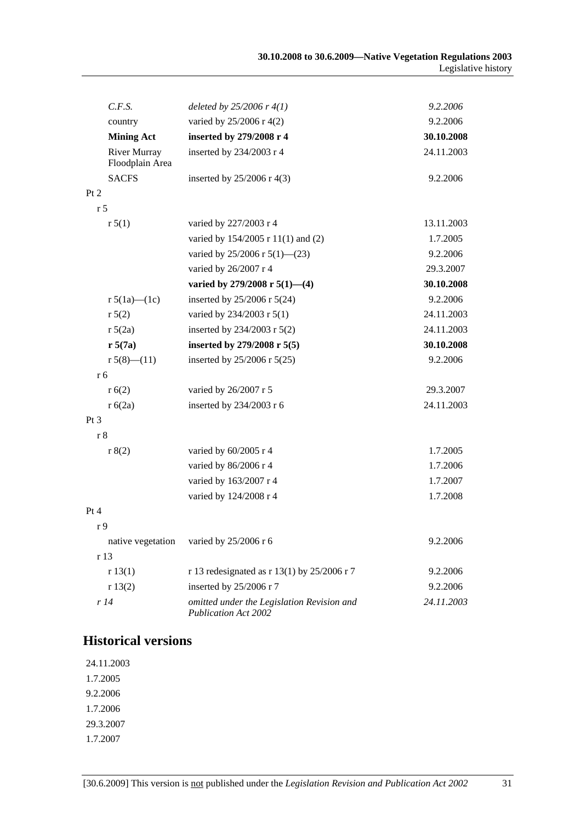| C.F.S.                          | deleted by $25/2006$ r $4(1)$                                             | 9.2.2006   |
|---------------------------------|---------------------------------------------------------------------------|------------|
| country                         | varied by 25/2006 r 4(2)                                                  | 9.2.2006   |
| <b>Mining Act</b>               | inserted by 279/2008 r 4                                                  | 30.10.2008 |
| River Murray<br>Floodplain Area | inserted by 234/2003 r 4                                                  | 24.11.2003 |
| <b>SACFS</b>                    | inserted by $25/2006$ r 4(3)                                              | 9.2.2006   |
| Pt 2                            |                                                                           |            |
| r <sub>5</sub>                  |                                                                           |            |
| r 5(1)                          | varied by 227/2003 r 4                                                    | 13.11.2003 |
|                                 | varied by 154/2005 r 11(1) and (2)                                        | 1.7.2005   |
|                                 | varied by 25/2006 r 5(1)–(23)                                             | 9.2.2006   |
|                                 | varied by 26/2007 r 4                                                     | 29.3.2007  |
|                                 | varied by 279/2008 r 5(1)-(4)                                             | 30.10.2008 |
| r $5(1a)$ — $(1c)$              | inserted by $25/2006$ r $5(24)$                                           | 9.2.2006   |
| r 5(2)                          | varied by 234/2003 r 5(1)                                                 | 24.11.2003 |
| r 5(2a)                         | inserted by 234/2003 r $5(2)$                                             | 24.11.2003 |
| r 5(7a)                         | inserted by 279/2008 r 5(5)                                               | 30.10.2008 |
| r $5(8)$ — $(11)$               | inserted by 25/2006 r 5(25)                                               | 9.2.2006   |
| r <sub>6</sub>                  |                                                                           |            |
| r(6(2))                         | varied by 26/2007 r 5                                                     | 29.3.2007  |
| r 6(2a)                         | inserted by 234/2003 r 6                                                  | 24.11.2003 |
| Pt <sub>3</sub>                 |                                                                           |            |
| r 8                             |                                                                           |            |
| r 8(2)                          | varied by 60/2005 r 4                                                     | 1.7.2005   |
|                                 | varied by 86/2006 r 4                                                     | 1.7.2006   |
|                                 | varied by 163/2007 r 4                                                    | 1.7.2007   |
|                                 | varied by 124/2008 r 4                                                    | 1.7.2008   |
| Pt 4                            |                                                                           |            |
| r 9                             |                                                                           |            |
| native vegetation               | varied by 25/2006 r 6                                                     | 9.2.2006   |
| r 13                            |                                                                           |            |
| r 13(1)                         | r 13 redesignated as $r$ 13(1) by 25/2006 r 7                             | 9.2.2006   |
| r 13(2)                         | inserted by 25/2006 r 7                                                   | 9.2.2006   |
| r14                             | omitted under the Legislation Revision and<br><b>Publication Act 2002</b> | 24.11.2003 |

### **Historical versions**

24.11.2003 1.7.2005 9.2.2006 1.7.2006 29.3.2007 1.7.2007